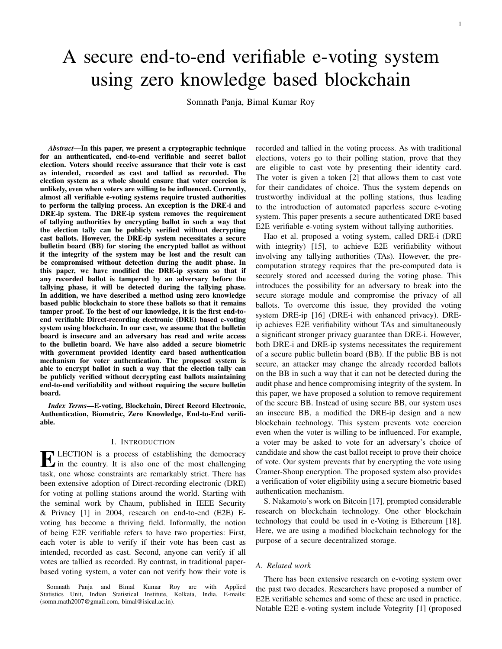1

# A secure end-to-end verifiable e-voting system using zero knowledge based blockchain

Somnath Panja, Bimal Kumar Roy

*Abstract*—In this paper, we present a cryptographic technique for an authenticated, end-to-end verifiable and secret ballot election. Voters should receive assurance that their vote is cast as intended, recorded as cast and tallied as recorded. The election system as a whole should ensure that voter coercion is unlikely, even when voters are willing to be influenced. Currently, almost all verifiable e-voting systems require trusted authorities to perform the tallying process. An exception is the DRE-i and DRE-ip system. The DRE-ip system removes the requirement of tallying authorities by encrypting ballot in such a way that the election tally can be publicly verified without decrypting cast ballots. However, the DRE-ip system necessitates a secure bulletin board (BB) for storing the encrypted ballot as without it the integrity of the system may be lost and the result can be compromised without detection during the audit phase. In this paper, we have modified the DRE-ip system so that if any recorded ballot is tampered by an adversary before the tallying phase, it will be detected during the tallying phase. In addition, we have described a method using zero knowledge based public blockchain to store these ballots so that it remains tamper proof. To the best of our knowledge, it is the first end-toend verifiable Direct-recording electronic (DRE) based e-voting system using blockchain. In our case, we assume that the bulletin board is insecure and an adversary has read and write access to the bulletin board. We have also added a secure biometric with government provided identity card based authentication mechanism for voter authentication. The proposed system is able to encrypt ballot in such a way that the election tally can be publicly verified without decrypting cast ballots maintaining end-to-end verifiability and without requiring the secure bulletin board.

*Index Terms*—E-voting, Blockchain, Direct Record Electronic, Authentication, Biometric, Zero Knowledge, End-to-End verifiable.

## I. INTRODUCTION

**EXECTION** is a process of establishing the democracy<br>in the country. It is also one of the most challenging in the country. It is also one of the most challenging task, one whose constraints are remarkably strict. There has been extensive adoption of Direct-recording electronic (DRE) for voting at polling stations around the world. Starting with the seminal work by Chaum, published in IEEE Security & Privacy [1] in 2004, research on end-to-end (E2E) Evoting has become a thriving field. Informally, the notion of being E2E verifiable refers to have two properties: First, each voter is able to verify if their vote has been cast as intended, recorded as cast. Second, anyone can verify if all votes are tallied as recorded. By contrast, in traditional paperbased voting system, a voter can not verify how their vote is

Somnath Panja and Bimal Kumar Roy are with Applied Statistics Unit, Indian Statistical Institute, Kolkata, India. E-mails: (somn.math2007@gmail.com, bimal@isical.ac.in).

recorded and tallied in the voting process. As with traditional elections, voters go to their polling station, prove that they are eligible to cast vote by presenting their identity card. The voter is given a token [2] that allows them to cast vote for their candidates of choice. Thus the system depends on trustworthy individual at the polling stations, thus leading to the introduction of automated paperless secure e-voting system. This paper presents a secure authenticated DRE based E2E verifiable e-voting system without tallying authorities.

Hao et al. proposed a voting system, called DRE-i (DRE with integrity) [15], to achieve E2E verifiability without involving any tallying authorities (TAs). However, the precomputation strategy requires that the pre-computed data is securely stored and accessed during the voting phase. This introduces the possibility for an adversary to break into the secure storage module and compromise the privacy of all ballots. To overcome this issue, they provided the voting system DRE-ip [16] (DRE-i with enhanced privacy). DREip achieves E2E verifiability without TAs and simultaneously a significant stronger privacy guarantee than DRE-i. However, both DRE-i and DRE-ip systems necessitates the requirement of a secure public bulletin board (BB). If the public BB is not secure, an attacker may change the already recorded ballots on the BB in such a way that it can not be detected during the audit phase and hence compromising integrity of the system. In this paper, we have proposed a solution to remove requirement of the secure BB. Instead of using secure BB, our system uses an insecure BB, a modified the DRE-ip design and a new blockchain technology. This system prevents vote coercion even when the voter is willing to be influenced. For example, a voter may be asked to vote for an adversary's choice of candidate and show the cast ballot receipt to prove their choice of vote. Our system prevents that by encrypting the vote using Cramer-Shoup encryption. The proposed system also provides a verification of voter eligibility using a secure biometric based authentication mechanism.

S. Nakamoto's work on Bitcoin [17], prompted considerable research on blockchain technology. One other blockchain technology that could be used in e-Voting is Ethereum [18]. Here, we are using a modified blockchain technology for the purpose of a secure decentralized storage.

#### *A. Related work*

There has been extensive research on e-voting system over the past two decades. Researchers have proposed a number of E2E verifiable schemes and some of these are used in practice. Notable E2E e-voting system include Votegrity [1] (proposed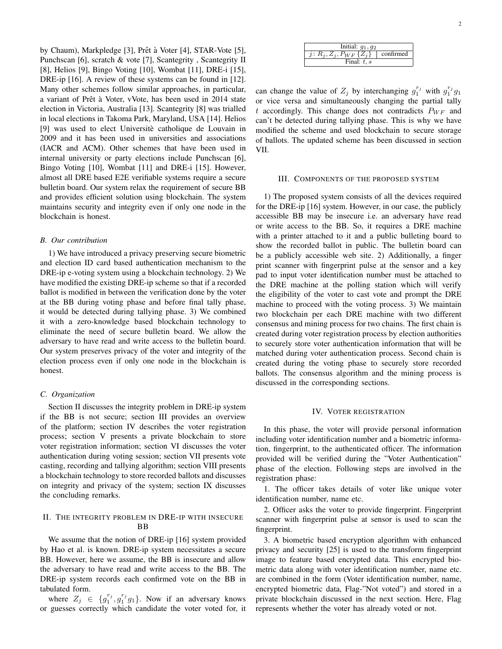by Chaum), Markpledge [3], Prêt à Voter [4], STAR-Vote [5], Punchscan [6], scratch & vote [7], Scantegrity , Scantegrity II [8], Helios [9], Bingo Voting [10], Wombat [11], DRE-i [15], DRE-ip [16]. A review of these systems can be found in [12]. Many other schemes follow similar approaches, in particular, a variant of Prêt à Voter, vVote, has been used in 2014 state election in Victoria, Australia [13]. Scantegrity [8] was trialled in local elections in Takoma Park, Maryland, USA [14]. Helios [9] was used to elect Universite catholique de Louvain in 2009 and it has been used in universities and associations (IACR and ACM). Other schemes that have been used in internal university or party elections include Punchscan [6], Bingo Voting [10], Wombat [11] and DRE-i [15]. However, almost all DRE based E2E verifiable systems require a secure bulletin board. Our system relax the requirement of secure BB and provides efficient solution using blockchain. The system maintains security and integrity even if only one node in the blockchain is honest.

### *B. Our contribution*

1) We have introduced a privacy preserving secure biometric and election ID card based authentication mechanism to the DRE-ip e-voting system using a blockchain technology. 2) We have modified the existing DRE-ip scheme so that if a recorded ballot is modified in between the verification done by the voter at the BB during voting phase and before final tally phase, it would be detected during tallying phase. 3) We combined it with a zero-knowledge based blockchain technology to eliminate the need of secure bulletin board. We allow the adversary to have read and write access to the bulletin board. Our system preserves privacy of the voter and integrity of the election process even if only one node in the blockchain is honest.

### *C. Organization*

Section II discusses the integrity problem in DRE-ip system if the BB is not secure; section III provides an overview of the platform; section IV describes the voter registration process; section V presents a private blockchain to store voter registration information; section VI discusses the voter authentication during voting session; section VII presents vote casting, recording and tallying algorithm; section VIII presents a blockchain technology to store recorded ballots and discusses on integrity and privacy of the system; section IX discusses the concluding remarks.

# II. THE INTEGRITY PROBLEM IN DRE-IP WITH INSECURE **BB**

We assume that the notion of DRE-ip [16] system provided by Hao et al. is known. DRE-ip system necessitates a secure BB. However, here we assume, the BB is insecure and allow the adversary to have read and write access to the BB. The DRE-ip system records each confirmed vote on the BB in tabulated form.

where  $Z_j \in \{g_1^{r_j}, g_1^{r_j}g_1\}$ . Now if an adversary knows or guesses correctly which candidate the voter voted for, it

| Initial: $g_1, g_2$           |           |
|-------------------------------|-----------|
| j: $R_j, Z_j, P_{WF} \{Z_j\}$ | confirmed |
| Final: $t, s$                 |           |

can change the value of  $Z_j$  by interchanging  $g_1^{r_j}$  with  $g_1^{r_j}g_1$ or vice versa and simultaneously changing the partial tally t accordingly. This change does not contradicts  $P_{WF}$  and can't be detected during tallying phase. This is why we have modified the scheme and used blockchain to secure storage of ballots. The updated scheme has been discussed in section VII.

#### III. COMPONENTS OF THE PROPOSED SYSTEM

1) The proposed system consists of all the devices required for the DRE-ip [16] system. However, in our case, the publicly accessible BB may be insecure i.e. an adversary have read or write access to the BB. So, it requires a DRE machine with a printer attached to it and a public bulleting board to show the recorded ballot in public. The bulletin board can be a publicly accessible web site. 2) Additionally, a finger print scanner with fingerprint pulse at the sensor and a key pad to input voter identification number must be attached to the DRE machine at the polling station which will verify the eligibility of the voter to cast vote and prompt the DRE machine to proceed with the voting process. 3) We maintain two blockchain per each DRE machine with two different consensus and mining process for two chains. The first chain is created during voter registration process by election authorities to securely store voter authentication information that will be matched during voter authentication process. Second chain is created during the voting phase to securely store recorded ballots. The consensus algorithm and the mining process is discussed in the corresponding sections.

## IV. VOTER REGISTRATION

In this phase, the voter will provide personal information including voter identification number and a biometric information, fingerprint, to the authenticated officer. The information provided will be verified during the "Voter Authentication" phase of the election. Following steps are involved in the registration phase:

1. The officer takes details of voter like unique voter identification number, name etc.

2. Officer asks the voter to provide fingerprint. Fingerprint scanner with fingerprint pulse at sensor is used to scan the fingerprint.

3. A biometric based encryption algorithm with enhanced privacy and security [25] is used to the transform fingerprint image to feature based encrypted data. This encrypted biometric data along with voter identification number, name etc. are combined in the form (Voter identification number, name, encrypted biometric data, Flag-"Not voted") and stored in a private blockchain discussed in the next section. Here, Flag represents whether the voter has already voted or not.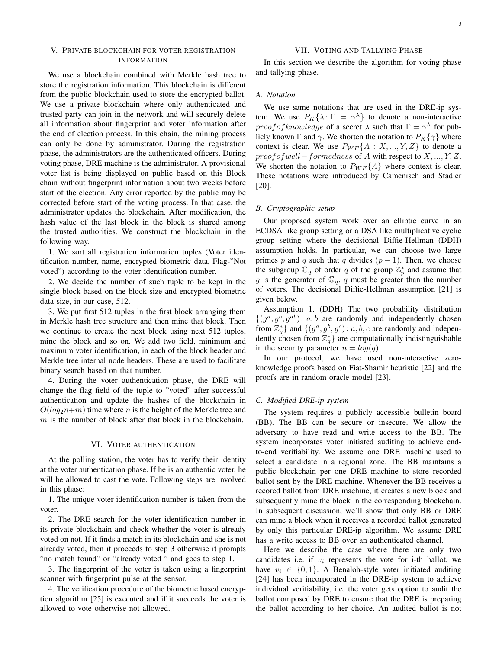# V. PRIVATE BLOCKCHAIN FOR VOTER REGISTRATION INFORMATION

We use a blockchain combined with Merkle hash tree to store the registration information. This blockchain is different from the public blockchain used to store the encrypted ballot. We use a private blockchain where only authenticated and trusted party can join in the network and will securely delete all information about fingerprint and voter information after the end of election process. In this chain, the mining process can only be done by administrator. During the registration phase, the administrators are the authenticated officers. During voting phase, DRE machine is the administrator. A provisional voter list is being displayed on public based on this Block chain without fingerprint information about two weeks before start of the election. Any error reported by the public may be corrected before start of the voting process. In that case, the administrator updates the blockchain. After modification, the hash value of the last block in the block is shared among the trusted authorities. We construct the blockchain in the following way.

1. We sort all registration information tuples (Voter identification number, name, encrypted biometric data, Flag-"Not voted") according to the voter identification number.

2. We decide the number of such tuple to be kept in the single block based on the block size and encrypted biometric data size, in our case, 512.

3. We put first 512 tuples in the first block arranging them in Merkle hash tree structure and then mine that block. Then we continue to create the next block using next 512 tuples, mine the block and so on. We add two field, minimum and maximum voter identification, in each of the block header and Merkle tree internal node headers. These are used to facilitate binary search based on that number.

4. During the voter authentication phase, the DRE will change the flag field of the tuple to "voted" after successful authentication and update the hashes of the blockchain in  $O(log_2n+m)$  time where n is the height of the Merkle tree and  $m$  is the number of block after that block in the blockchain.

## VI. VOTER AUTHENTICATION

At the polling station, the voter has to verify their identity at the voter authentication phase. If he is an authentic voter, he will be allowed to cast the vote. Following steps are involved in this phase:

1. The unique voter identification number is taken from the voter.

2. The DRE search for the voter identification number in its private blockchain and check whether the voter is already voted on not. If it finds a match in its blockchain and she is not already voted, then it proceeds to step 3 otherwise it prompts "no match found" or "already voted " and goes to step 1.

3. The fingerprint of the voter is taken using a fingerprint scanner with fingerprint pulse at the sensor.

4. The verification procedure of the biometric based encryption algorithm [25] is executed and if it succeeds the voter is allowed to vote otherwise not allowed.

# VII. VOTING AND TALLYING PHASE

In this section we describe the algorithm for voting phase and tallying phase.

# *A. Notation*

We use same notations that are used in the DRE-ip system. We use  $P_K\{\lambda: \Gamma = \gamma^{\lambda}\}\$  to denote a non-interactive *proof of knowledge* of a secret  $\lambda$  such that  $\Gamma = \gamma^{\lambda}$  for publicly known  $\Gamma$  and  $\gamma$ . We shorten the notation to  $P_K\{\gamma\}$  where context is clear. We use  $P_{WF}{A : X, ..., Y, Z}$  to denote a  $proof of well-formedness$  of A with respect to  $X, ..., Y, Z$ . We shorten the notation to  $P_{WF}{A}$  where context is clear. These notations were introduced by Camenisch and Stadler [20].

# *B. Cryptographic setup*

Our proposed system work over an elliptic curve in an ECDSA like group setting or a DSA like multiplicative cyclic group setting where the decisional Diffie-Hellman (DDH) assumption holds. In particular, we can choose two large primes p and q such that q divides  $(p - 1)$ . Then, we choose the subgroup  $\mathbb{G}_q$  of order q of the group  $\mathbb{Z}_p^*$  and assume that g is the generator of  $\mathbb{G}_q$ . q must be greater than the number of voters. The decisional Diffie-Hellman assumption [21] is given below.

Assumption 1. (DDH) The two probability distribution  $\{(g^a, g^b, g^{ab}) : a, b \text{ are randomly and independently chosen}\}$ from  $\mathbb{Z}_q^*$  and  $\{(g^a, g^b, g^c): a, b, c \text{ are randomly and indepen-} \}$ dently chosen from  $\mathbb{Z}_q^*$  are computationally indistinguishable in the security parameter  $n = log(q)$ .

In our protocol, we have used non-interactive zeroknowledge proofs based on Fiat-Shamir heuristic [22] and the proofs are in random oracle model [23].

## *C. Modified DRE-ip system*

The system requires a publicly accessible bulletin board (BB). The BB can be secure or insecure. We allow the adversary to have read and write access to the BB. The system incorporates voter initiated auditing to achieve endto-end verifiability. We assume one DRE machine used to select a candidate in a regional zone. The BB maintains a public blockchain per one DRE machine to store recorded ballot sent by the DRE machine. Whenever the BB receives a recored ballot from DRE machine, it creates a new block and subsequently mine the block in the corresponding blockchain. In subsequent discussion, we'll show that only BB or DRE can mine a block when it receives a recorded ballot generated by only this particular DRE-ip algorithm. We assume DRE has a write access to BB over an authenticated channel.

Here we describe the case where there are only two candidates i.e. if  $v_i$  represents the vote for i-th ballot, we have  $v_i \in \{0, 1\}$ . A Benaloh-style voter initiated auditing [24] has been incorporated in the DRE-ip system to achieve individual verifiability, i.e. the voter gets option to audit the ballot composed by DRE to ensure that the DRE is preparing the ballot according to her choice. An audited ballot is not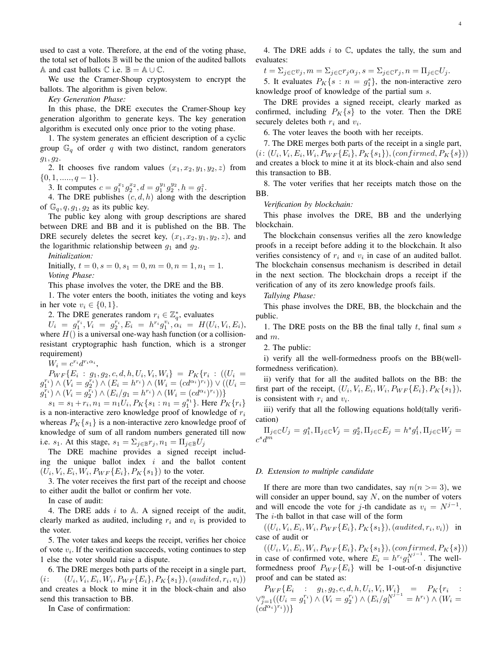used to cast a vote. Therefore, at the end of the voting phase, the total set of ballots  $\mathbb B$  will be the union of the audited ballots A and cast ballots  $\mathbb C$  i.e.  $\mathbb B = \mathbb A \cup \mathbb C$ .

We use the Cramer-Shoup cryptosystem to encrypt the ballots. The algorithm is given below.

*Key Generation Phase:*

In this phase, the DRE executes the Cramer-Shoup key generation algorithm to generate keys. The key generation algorithm is executed only once prior to the voting phase.

1. The system generates an efficient description of a cyclic group  $\mathbb{G}_q$  of order q with two distinct, random generators  $g_1, g_2.$ 

2. It chooses five random values  $(x_1, x_2, y_1, y_2, z)$  from  $\{0, 1, \ldots, q-1\}.$ 

3. It computes  $c = g_1^{x_1} g_2^{x_2}, d = g_1^{y_1} g_2^{y_2}, h = g_1^z$ .

4. The DRE publishes  $(c, d, h)$  along with the description of  $\mathbb{G}_q$ ,  $q$ ,  $g_1$ ,  $g_2$  as its public key.

The public key along with group descriptions are shared between DRE and BB and it is published on the BB. The DRE securely deletes the secret key,  $(x_1, x_2, y_1, y_2, z)$ , and the logarithmic relationship between  $g_1$  and  $g_2$ .

*Initialization:*

Initially,  $t = 0, s = 0, s_1 = 0, m = 0, n = 1, n_1 = 1.$ *Voting Phase:*

This phase involves the voter, the DRE and the BB.

1. The voter enters the booth, initiates the voting and keys in her vote  $v_i \in \{0, 1\}.$ 

2. The DRE generates random  $r_i \in \mathbb{Z}_q^*$ , evaluates

 $U_i \;=\; g_1^{r_i}, V_i \;=\; g_2^{r_i}, E_i \;=\; h^{r_i} g_1^{v_i}, \alpha_i \;=\; H(U_i,V_i,E_i),$ where  $H()$  is a universal one-way hash function (or a collisionresistant cryptographic hash function, which is a stronger requirement)

 $W_i = c^{r_i} d^{r_i \alpha_i},$ 

 $P_{WF}{E_i : g_1, g_2, c, d, h, U_i, V_i, W_i} = P_K{r_i : ((U_i =$  $(g_1^{r_i}) \wedge (V_i = g_2^{r_i}) \wedge (E_i = h^{r_i}) \wedge (W_i = (cd^{\alpha_i})^{r_i})) \vee ((U_i =$  $(g_1^{r_i}) \wedge (V_i = g_2^{r_i}) \wedge (E_i/g_1 = h^{r_i}) \wedge (W_i = (cd^{\alpha_i})^{r_i}))\}$ 

 $s_1 = s_1 + r_i, n_1 = n_1 U_i, P_K\{s_1 : n_1 = g_1^{s_1}\}.$  Here  $P_K\{r_i\}$ is a non-interactive zero knowledge proof of knowledge of  $r_i$ whereas  $P_K\{s_1\}$  is a non-interactive zero knowledge proof of knowledge of sum of all random numbers generated till now i.e.  $s_1$ . At this stage,  $s_1 = \sum_{i \in \mathbb{B}} r_i$ ,  $n_1 = \prod_{i \in \mathbb{B}} U_i$ 

The DRE machine provides a signed receipt including the unique ballot index  $i$  and the ballot content  $(U_i, V_i, E_i, W_i, P_{WF}{E_i}, P_K{s_1})$  to the voter.

3. The voter receives the first part of the receipt and choose to either audit the ballot or confirm her vote.

In case of audit:

4. The DRE adds  $i$  to A. A signed receipt of the audit, clearly marked as audited, including  $r_i$  and  $v_i$  is provided to the voter.

5. The voter takes and keeps the receipt, verifies her choice of vote  $v_i$ . If the verification succeeds, voting continues to step 1 else the voter should raise a dispute.

6. The DRE merges both parts of the receipt in a single part,  $(i: \quad (U_i, V_i, E_i, W_i, P_{WF}{E_i}, P_K{s_1}), (audited, r_i, v_i))$ and creates a block to mine it in the block-chain and also send this transaction to BB.

In Case of confirmation:

4. The DRE adds  $i$  to  $\mathbb{C}$ , updates the tally, the sum and evaluates:

 $t = \sum_{j \in \mathbb{C}} v_j, m = \sum_{j \in \mathbb{C}} r_j \alpha_j, s = \sum_{j \in \mathbb{C}} r_j, n = \prod_{j \in \mathbb{C}} U_j.$ 

5. It evaluates  $P_K\{s : n = g_1^s\}$ , the non-interactive zero knowledge proof of knowledge of the partial sum s.

The DRE provides a signed receipt, clearly marked as confirmed, including  $P_K\{s\}$  to the voter. Then the DRE securely deletes both  $r_i$  and  $v_i$ .

6. The voter leaves the booth with her receipts.

7. The DRE merges both parts of the receipt in a single part,  $(i: (U_i, V_i, E_i, W_i, P_{WF}{E_i}, P_K{s_1}), (confirmed, P_K{s}))$ and creates a block to mine it at its block-chain and also send this transaction to BB.

8. The voter verifies that her receipts match those on the BB.

*Verification by blockchain:*

This phase involves the DRE, BB and the underlying blockchain.

The blockchain consensus verifies all the zero knowledge proofs in a receipt before adding it to the blockchain. It also verifies consistency of  $r_i$  and  $v_i$  in case of an audited ballot. The blockchain consensus mechanism is described in detail in the next section. The blockchain drops a receipt if the verification of any of its zero knowledge proofs fails.

*Tallying Phase:*

This phase involves the DRE, BB, the blockchain and the public.

1. The DRE posts on the BB the final tally  $t$ , final sum  $s$ and m.

2. The public:

i) verify all the well-formedness proofs on the BB(wellformedness verification).

ii) verify that for all the audited ballots on the BB: the first part of the receipt,  $(U_i, V_i, E_i, W_i, P_{WF}{E_i}, P_K{s_1}),$ is consistent with  $r_i$  and  $v_i$ .

iii) verify that all the following equations hold(tally verification)

$$
\Pi_{j\in\mathbb{C}}U_j=g_1^s,\Pi_{j\in\mathbb{C}}V_j=g_2^s,\Pi_{j\in\mathbb{C}}E_j=h^sg_1^t,\Pi_{j\in\mathbb{C}}W_j=c^sd^m
$$

#### *D. Extension to multiple candidate*

If there are more than two candidates, say  $n(n >= 3)$ , we will consider an upper bound, say  $N$ , on the number of voters and will encode the vote for j-th candidate as  $v_i = N^{j-1}$ . The i-th ballot in that case will of the form

 $((U_i, V_i, E_i, W_i, P_{WF}{E_i}, P_K{s_1}), (audited, r_i, v_i))$  in case of audit or

 $((U_i, V_i, E_i, W_i, P_{WF}{E_i}, P_K{s_1}), (confirmed, P_K{s}))$ in case of confirmed vote, where  $E_i = h^{r_i} g_1^{N^{j-1}}$ . The wellformedness proof  $P_{WF}{E_i}$  will be 1-out-of-n disjunctive proof and can be stated as:

 $P_{WF}\{E_i : g_1, g_2, c, d, h, U_i, V_i, W_i\} = P_K\{r_i :$  $\vee_{j=1}^{n}((U_{i}=g_{1}^{r_{i}})\wedge(V_{i}=g_{2}^{r_{i}})\wedge(E_{i}/g_{1}^{N^{j-1}}=h^{r_{i}})\wedge(W_{i}=0)$  $(\dot{c}d^{\alpha_i})^{r_i})\}$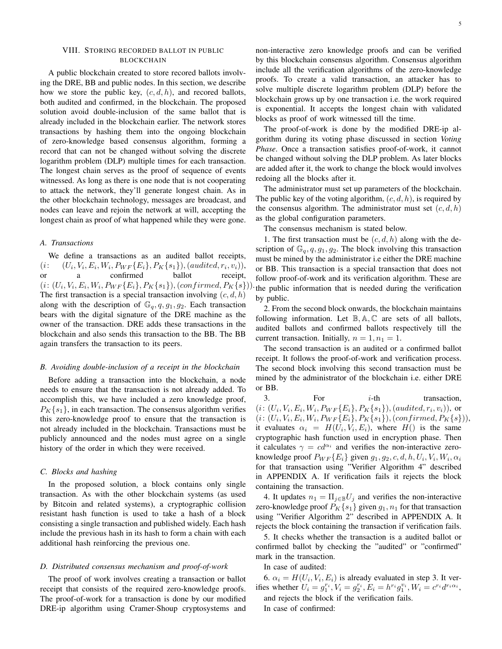# VIII. STORING RECORDED BALLOT IN PUBLIC BLOCKCHAIN

A public blockchain created to store recored ballots involving the DRE, BB and public nodes. In this section, we describe how we store the public key,  $(c, d, h)$ , and recored ballots, both audited and confirmed, in the blockchain. The proposed solution avoid double-inclusion of the same ballot that is already included in the blockchain earlier. The network stores transactions by hashing them into the ongoing blockchain of zero-knowledge based consensus algorithm, forming a record that can not be changed without solving the discrete logarithm problem (DLP) multiple times for each transaction. The longest chain serves as the proof of sequence of events witnessed. As long as there is one node that is not cooperating to attack the network, they'll generate longest chain. As in the other blockchain technology, messages are broadcast, and nodes can leave and rejoin the network at will, accepting the longest chain as proof of what happened while they were gone.

## *A. Transactions*

We define a transactions as an audited ballot receipts,  $(i: (U_i, V_i, E_i, W_i, P_{WF}{E_i}, P_K{s_1}), (audited, r_i, v_i)),$ or a confirmed ballot receipt,  $(i: (U_i, V_i, E_i, W_i, P_{WF}{E_i}, P_K{s_1}), (confirmed, P_K{s})).$ The first transaction is a special transaction involving  $(c, d, h)$ along with the description of  $\mathbb{G}_q$ ,  $q$ ,  $q_1$ ,  $q_2$ . Each transaction bears with the digital signature of the DRE machine as the owner of the transaction. DRE adds these transactions in the blockchain and also sends this transaction to the BB. The BB again transfers the transaction to its peers.

## *B. Avoiding double-inclusion of a receipt in the blockchain*

Before adding a transaction into the blockchain, a node needs to ensure that the transaction is not already added. To accomplish this, we have included a zero knowledge proof,  $P<sub>K</sub>$ {s<sub>1</sub>}, in each transaction. The consensus algorithm verifies this zero-knowledge proof to ensure that the transaction is not already included in the blockchain. Transactions must be publicly announced and the nodes must agree on a single history of the order in which they were received.

# *C. Blocks and hashing*

In the proposed solution, a block contains only single transaction. As with the other blockchain systems (as used by Bitcoin and related systems), a cryptographic collision resistant hash function is used to take a hash of a block consisting a single transaction and published widely. Each hash include the previous hash in its hash to form a chain with each additional hash reinforcing the previous one.

## *D. Distributed consensus mechanism and proof-of-work*

The proof of work involves creating a transaction or ballot receipt that consists of the required zero-knowledge proofs. The proof-of-work for a transaction is done by our modified DRE-ip algorithm using Cramer-Shoup cryptosystems and

non-interactive zero knowledge proofs and can be verified by this blockchain consensus algorithm. Consensus algorithm include all the verification algorithms of the zero-knowledge proofs. To create a valid transaction, an attacker has to solve multiple discrete logarithm problem (DLP) before the blockchain grows up by one transaction i.e. the work required is exponential. It accepts the longest chain with validated blocks as proof of work witnessed till the time.

The proof-of-work is done by the modified DRE-ip algorithm during its voting phase discussed in section *Voting Phase*. Once a transaction satisfies proof-of-work, it cannot be changed without solving the DLP problem. As later blocks are added after it, the work to change the block would involves redoing all the blocks after it.

The administrator must set up parameters of the blockchain. The public key of the voting algorithm,  $(c, d, h)$ , is required by the consensus algorithm. The administrator must set  $(c, d, h)$ as the global configuration parameters.

The consensus mechanism is stated below.

1. The first transaction must be  $(c, d, h)$  along with the description of  $\mathbb{G}_q$ ,  $q$ ,  $g_1$ ,  $g_2$ . The block involving this transaction must be mined by the administrator i.e either the DRE machine or BB. This transaction is a special transaction that does not follow proof-of-work and its verification algorithm. These are the public information that is needed during the verification by public.

2. From the second block onwards, the blockchain maintains following information. Let  $\mathbb{B}, \mathbb{A}, \mathbb{C}$  are sets of all ballots, audited ballots and confirmed ballots respectively till the current transaction. Initially,  $n = 1, n_1 = 1$ .

The second transaction is an audited or a confirmed ballot receipt. It follows the proof-of-work and verification process. The second block involving this second transaction must be mined by the administrator of the blockchain i.e. either DRE or BB.

 $3.$  For  $i$ -th transaction,  $(i: (U_i, V_i, E_i, W_i, P_{WF}{E_i}, P_K{s_1}), (audited, r_i, v_i)),$  or  $(i: (U_i, V_i, E_i, W_i, P_{WF}{E_i}, P_K{s_1}), (confirmed, P_K{s})),$ it evaluates  $\alpha_i = H(U_i, V_i, E_i)$ , where  $H()$  is the same cryptographic hash function used in encryption phase. Then it calculates  $\gamma = cd^{\alpha_i}$  and verifies the non-interactive zeroknowledge proof  $P_{WF}\{E_i\}$  given  $g_1, g_2, c, d, h, U_i, V_i, W_i, \alpha_i$ for that transaction using "Verifier Algorithm 4" described in APPENDIX A. If verification fails it rejects the block containing the transaction.

4. It updates  $n_1 = \prod_{j \in \mathbb{B}} U_j$  and verifies the non-interactive zero-knowledge proof  $P_K\{s_1\}$  given  $g_1, n_1$  for that transaction using "Verifier Algorithm 2" described in APPENDIX A. It rejects the block containing the transaction if verification fails.

5. It checks whether the transaction is a audited ballot or confirmed ballot by checking the "audited" or "confirmed" mark in the transaction.

In case of audited:

6.  $\alpha_i = H(U_i, V_i, E_i)$  is already evaluated in step 3. It verifies whether  $U_i = g_1^{r_i}$ ,  $V_i = g_2^{r_i}$ ,  $E_i = h^{r_i} g_1^{v_i}$ ,  $W_i = c^{r_i} d^{r_i \alpha_i}$ , and rejects the block if the verification fails. In case of confirmed: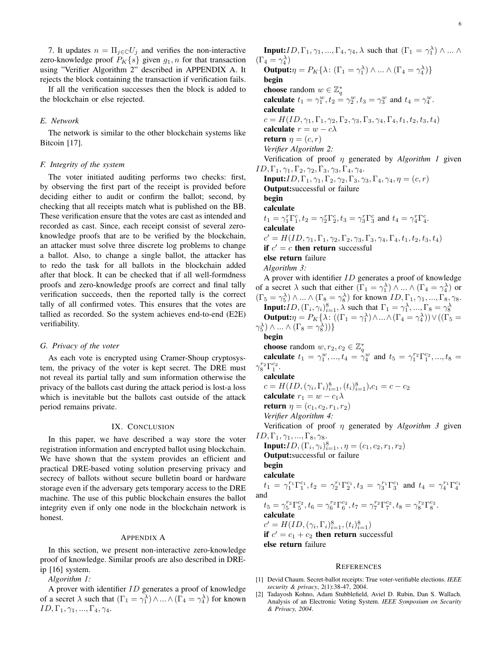7. It updates  $n = \prod_{j \in \mathbb{C}} U_j$  and verifies the non-interactive zero-knowledge proof  $P_K\{s\}$  given  $g_1, n$  for that transaction using "Verifier Algorithm 2" described in APPENDIX A. It rejects the block containing the transaction if verification fails.

If all the verification successes then the block is added to the blockchain or else rejected.

# *E. Network*

The network is similar to the other blockchain systems like Bitcoin [17].

#### *F. Integrity of the system*

The voter initiated auditing performs two checks: first, by observing the first part of the receipt is provided before deciding either to audit or confirm the ballot; second, by checking that all receipts match what is published on the BB. These verification ensure that the votes are cast as intended and recorded as cast. Since, each receipt consist of several zeroknowledge proofs that are to be verified by the blockchain, an attacker must solve three discrete log problems to change a ballot. Also, to change a single ballot, the attacker has to redo the task for all ballots in the blockchain added after that block. It can be checked that if all well-formdness proofs and zero-knowledge proofs are correct and final tally verification succeeds, then the reported tally is the correct tally of all confirmed votes. This ensures that the votes are tallied as recorded. So the system achieves end-to-end (E2E) verifiability.

## *G. Privacy of the voter*

As each vote is encrypted using Cramer-Shoup cryptosystem, the privacy of the voter is kept secret. The DRE must not reveal its partial tally and sum information otherwise the privacy of the ballots cast during the attack period is lost-a loss which is inevitable but the ballots cast outside of the attack period remains private.

## IX. CONCLUSION

In this paper, we have described a way store the voter registration information and encrypted ballot using blockchain. We have shown that the system provides an efficient and practical DRE-based voting solution preserving privacy and secrecy of ballots without secure bulletin board or hardware storage even if the adversary gets temporary access to the DRE machine. The use of this public blockchain ensures the ballot integrity even if only one node in the blockchain network is honest.

#### APPENDIX A

In this section, we present non-interactive zero-knowledge proof of knowledge. Similar proofs are also described in DREip [16] system.

*Algorithm 1:*

A prover with identifier ID generates a proof of knowledge of a secret  $\lambda$  such that  $(\Gamma_1 = \gamma_1^{\lambda}) \wedge ... \wedge (\Gamma_4 = \gamma_4^{\lambda})$  for known  $ID, \Gamma_1, \gamma_1, ..., \Gamma_4, \gamma_4.$ 

**Input:***ID*,  $\Gamma_1$ ,  $\gamma_1$ , ...,  $\Gamma_4$ ,  $\gamma_4$ ,  $\lambda$  such that  $(\Gamma_1 = \gamma_1^{\lambda}) \wedge ... \wedge \Gamma_k$  $(\Gamma_4 = \gamma_4^{\lambda})$ **Output:**  $\eta = P_K {\lambda : (\Gamma_1 = \gamma_1^{\lambda}) \wedge ... \wedge (\Gamma_4 = \gamma_4^{\lambda})}$ begin choose random  $w \in \mathbb{Z}_q^*$ calculate  $t_1 = \gamma_1^w, t_2 = \gamma_2^w, t_3 = \gamma_3^w$  and  $t_4 = \gamma_4^w$ . calculate  $c = H(ID, \gamma_1, \Gamma_1, \gamma_2, \Gamma_2, \gamma_3, \Gamma_3, \gamma_4, \Gamma_4, t_1, t_2, t_3, t_4)$ calculate  $r = w - c\lambda$ return  $\eta = (c, r)$ *Verifier Algorithm 2:* Verification of proof η generated by *Algorithm 1* given  $ID, \Gamma_1, \gamma_1, \Gamma_2, \gamma_2, \Gamma_3, \gamma_3, \Gamma_4, \gamma_4.$ **Input:***ID*,  $\Gamma_1$ ,  $\gamma_1$ ,  $\Gamma_2$ ,  $\gamma_2$ ,  $\Gamma_3$ ,  $\gamma_3$ ,  $\Gamma_4$ ,  $\gamma_4$ ,  $\eta = (c, r)$ Output:successful or failure begin calculate  $t_1 = \gamma_1^r \Gamma_1^c, t_2 = \gamma_2^r \Gamma_2^c, t_3 = \gamma_3^r \Gamma_3^c$  and  $t_4 = \gamma_4^r \Gamma_4^c$ . calculate  $c' = H(ID, \gamma_1, \Gamma_1, \gamma_2, \Gamma_2, \gamma_3, \Gamma_3, \gamma_4, \Gamma_4, t_1, t_2, t_3, t_4)$ if  $c' = c$  then return successful else return failure *Algorithm 3:* A prover with identifier ID generates a proof of knowledge of a secret  $\lambda$  such that either  $(\Gamma_1 = \gamma_1^{\lambda}) \wedge ... \wedge (\Gamma_4 = \gamma_4^{\lambda})$  or  $(\Gamma_5 = \gamma_5^{\lambda}) \wedge ... \wedge (\Gamma_8 = \gamma_8^{\lambda})$  for known  $ID, \Gamma_1, \gamma_1, ..., \Gamma_8, \gamma_8$ . **Input:***ID*,  $(\Gamma_i, \gamma_i)_{i=1}^8$ ,  $\lambda$  such that  $\Gamma_1 = \gamma_1^{\lambda}, ..., \Gamma_8 = \gamma_8^{\lambda}$ <br>**Output:** $\eta = P_K {\lambda : ((\Gamma_1 = \gamma_1^{\lambda}) \wedge ... \wedge (\Gamma_4 = \gamma_4^{\lambda})) \vee ((\Gamma_5 = \gamma_5^{\lambda}) \wedge ... \wedge (\Gamma_6 = \gamma_7^{\lambda})})}$  $\gamma_5^{\lambda}$ )  $\wedge ... \wedge (\Gamma_8 = \gamma_8^{\lambda}))$ begin choose random  $w, r_2, c_2 \in \mathbb{Z}_q^*$ <br>calculate  $t_1 = \gamma_1^w, ..., t_4 = \gamma_4^w$  and  $t_5 = \gamma_1^{r_2} \Gamma_1^{c_2}, ..., t_8 =$  $\gamma_8^{r_2} \Gamma_1^{c_2}$ . calculate  $c = H(ID, (\gamma_i, \Gamma_i)_{i=1}^8, (t_i)_{i=1}^8), c_1 = c - c_2$ calculate  $r_1 = w - c_1\lambda$ return  $\eta = (c_1, c_2, r_1, r_2)$ *Verifier Algorithm 4:* Verification of proof η generated by *Algorithm 3* given  $ID, \Gamma_1, \gamma_1, ..., \Gamma_8, \gamma_8.$ **Input:***ID*,  $(\Gamma_i, \gamma_i)_{i=1}^8$ , ,  $\eta = (c_1, c_2, r_1, r_2)$ Output:successful or failure begin calculate  $t_1 = \gamma_1^{r_1} \Gamma_1^{c_1}, t_2 = \gamma_2^{r_1} \Gamma_2^{c_1}, t_3 = \gamma_3^{r_1} \Gamma_3^{c_1}$  and  $t_4 = \gamma_4^{r_1} \Gamma_4^{c_1}$ and  $t_5 = \gamma_5^{r_2} \Gamma_5^{c_2}, t_6 = \gamma_6^{r_2} \Gamma_6^{c_2}, t_7 = \gamma_7^{r_2} \Gamma_7^{c_2}, t_8 = \gamma_8^{r_2} \Gamma_8^{c_2}.$ calculate  $c' = H(ID, (\gamma_i, \Gamma_i)_{i=1}^8, (t_i)_{i=1}^8)$ if  $c' = c_1 + c_2$  then return successful else return failure

# **REFERENCES**

- [1] Devid Chaum. Secret-ballot receipts: True voter-verifiable elections. *IEEE security & privacy*, 2(1):38-47, 2004.
- [2] Tadayosh Kohno, Adam Stubblefield, Aviel D. Rubin, Dan S. Wallach. Analysis of an Electronic Voting System. *IEEE Symposium on Security & Privacy, 2004*.